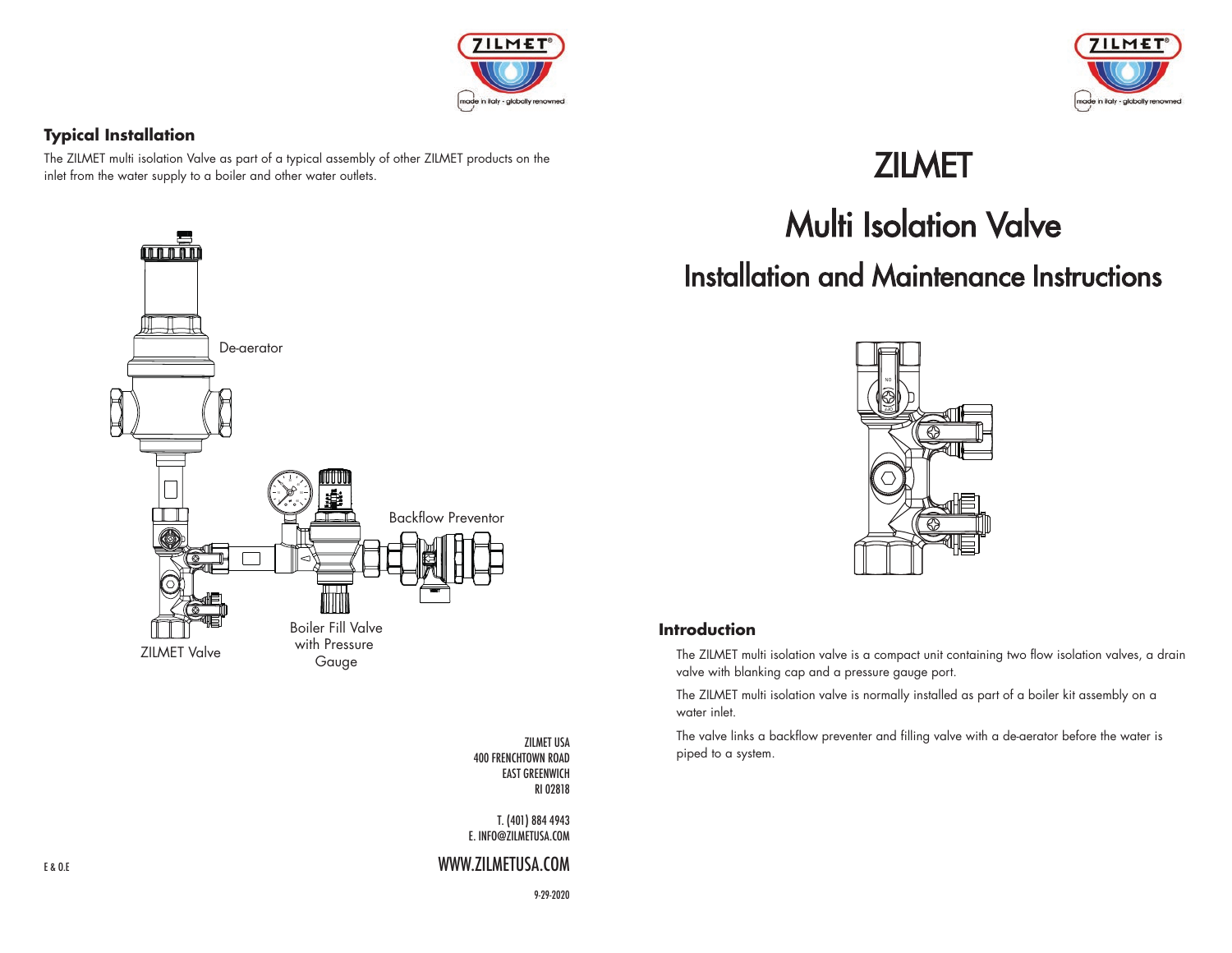

### **Typical Installation**

The ZILMET multi isolation Valve as part of a typical assembly of other ZILMET products on the inlet from the water supply to a boiler and other water outlets.



ZILMET USA 400 FRENCHTOWN ROAD EAST GREENWICH RI 02818

T. (401) 884 4943 E. INFO@ZILMETUSA.COM

## WWW.ZILMETUSA.COM



# ZILMET

# Multi Isolation Valve Installation and Maintenance Instructions



## **Introduction**

 The ZILMET multi isolation valve is a compact unit containing two flow isolation valves, a drain valve with blanking cap and a pressure gauge port.

 The ZILMET multi isolation valve is normally installed as part of a boiler kit assembly on a water inlet.

 The valve links a backflow preventer and filling valve with a de-aerator before the water is piped to a system.